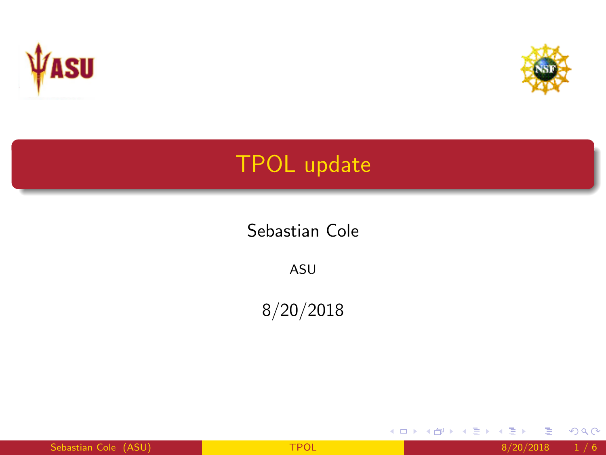<span id="page-0-0"></span>



重

メロメ メ都 メメ きょくきょ

 $299$ 

# TPOL update

Sebastian Cole

ASU

8/20/2018

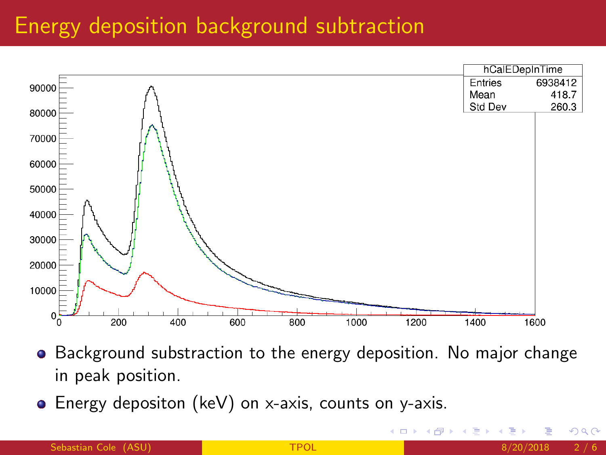#### <span id="page-1-0"></span>Energy deposition background subtraction



- Background substraction to the energy deposition. No major change in peak position.
- Energy depositon (keV) on x-axis, counts on y-axis.

4 0 8

 $\Omega$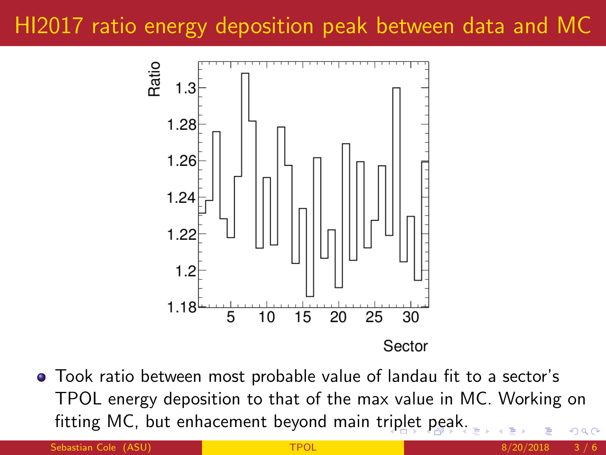## <span id="page-2-0"></span>HI2017 ratio energy deposition peak between data and MC



Took ratio between most probable value of landau fit to a sector's TPOL energy deposition to that of the max value in MC. Working on fitting MC, but enhacement beyond main t[rip](#page-1-0)l[et](#page-3-0)[pe](#page-2-0)[a](#page-3-0)[k.](#page-0-0) つへへ

Sebastian Cole (ASU) **[TPOL](#page-0-0)** 8/20/2018 3/6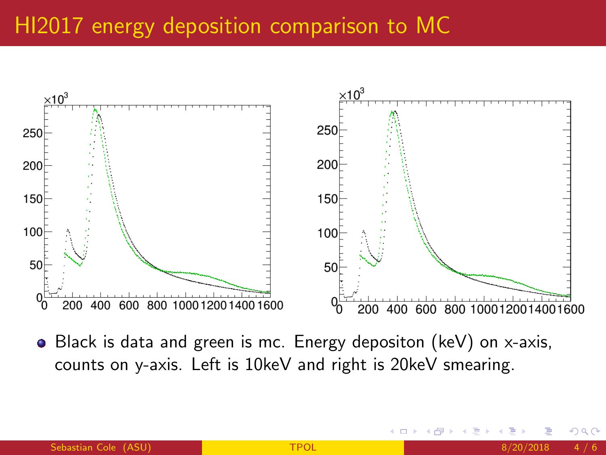## <span id="page-3-0"></span>HI2017 energy deposition comparison to MC



Black is data and green is mc. Energy depositon (keV) on x-axis, counts on y-axis. Left is 10keV and right is 20keV smearing.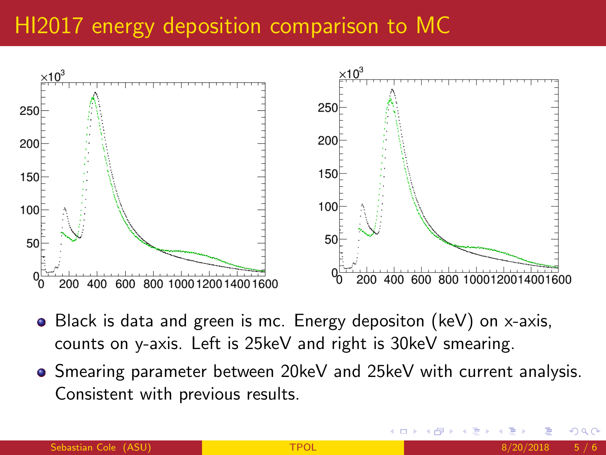## HI2017 energy deposition comparison to MC



- Black is data and green is mc. Energy depositon (keV) on x-axis, counts on y-axis. Left is 25keV and right is 30keV smearing.
- **Shearing parameter between 20keV and 25keV with current analysis.** Consistent with previous results.

つひい